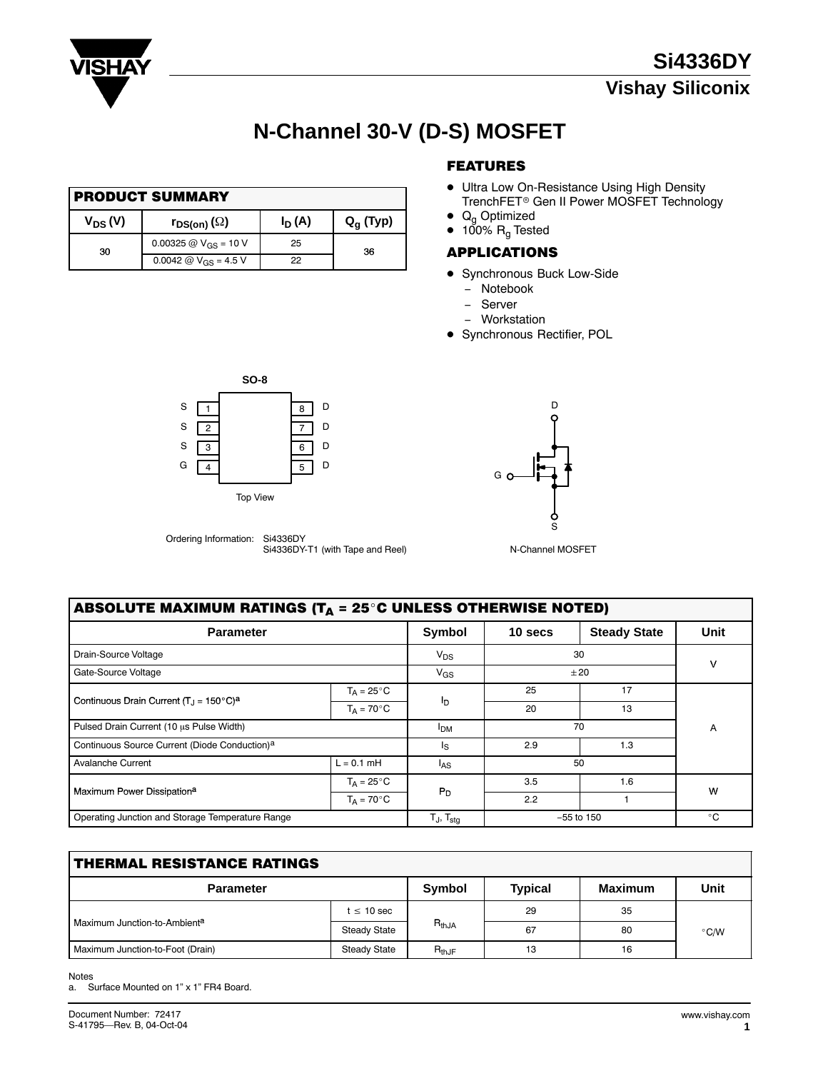

# **N-Channel 30-V (D-S) MOSFET**

| <b>PRODUCT SUMMARY</b> |                               |          |             |  |  |
|------------------------|-------------------------------|----------|-------------|--|--|
| $V_{DS} (V)$           | $r_{\textsf{DS}(on)}(\Omega)$ | $I_D(A)$ | $Q_q$ (Typ) |  |  |
| 30                     | 0.00325 @ $V_{GS}$ = 10 V     | 25       | 36          |  |  |
|                        | 0.0042 @ $V_{GS}$ = 4.5 V     | 22       |             |  |  |

### FEATURES

- **Ultra Low On-Resistance Using High Density** TrenchFET- Gen II Power MOSFET Technology
- $\bullet$  Q<sub>g</sub> Optimized
- $\bullet$  100%  $\mathsf{R}_{\mathsf{g}}$  Tested

#### APPLICATIONS

- **Synchronous Buck Low-Side** 
	- − Notebook
	- − Server
	- − Workstation
- **Synchronous Rectifier, POL**







| ABSOLUTE MAXIMUM RATINGS (T <sub>A</sub> = 25°C UNLESS OTHERWISE NOTED) |                      |                   |              |                     |              |  |
|-------------------------------------------------------------------------|----------------------|-------------------|--------------|---------------------|--------------|--|
| <b>Parameter</b>                                                        |                      | Symbol            | 10 secs      | <b>Steady State</b> | Unit         |  |
| Drain-Source Voltage                                                    |                      | $V_{DS}$          | 30           |                     | v            |  |
| Gate-Source Voltage                                                     |                      | $V_{GS}$          | ±20          |                     |              |  |
|                                                                         | $T_A = 25^{\circ}C$  |                   | 25           | 17                  |              |  |
| Continuous Drain Current $(T_1 = 150^{\circ}C)^a$                       | $T_A = 70^{\circ}$ C | I <sub>D</sub>    | 20           | 13                  |              |  |
| Pulsed Drain Current (10 µs Pulse Width)                                |                      | <b>IDM</b>        | 70           |                     | A            |  |
| Continuous Source Current (Diode Conduction) <sup>a</sup>               |                      | Is                | 2.9          | 1.3                 |              |  |
| <b>Avalanche Current</b>                                                | $L = 0.1$ mH         | l <sub>AS</sub>   | 50           |                     |              |  |
| Maximum Power Dissipation <sup>a</sup>                                  | $T_A = 25^{\circ}C$  | $P_D$             | 3.5          | 1.6                 | W            |  |
|                                                                         | $T_A = 70^{\circ}$ C |                   | 2.2          |                     |              |  |
| Operating Junction and Storage Temperature Range                        |                      | $T_J$ , $T_{sta}$ | $-55$ to 150 |                     | $^{\circ}$ C |  |

| <b>THERMAL RESISTANCE RATINGS</b> |                     |            |                |                |               |  |
|-----------------------------------|---------------------|------------|----------------|----------------|---------------|--|
| <b>Parameter</b>                  |                     | Symbol     | <b>Typical</b> | <b>Maximum</b> | Unit          |  |
|                                   | $t \leq 10$ sec     | $R_{thJA}$ | 29             | 35             | $\degree$ C/W |  |
| Maximum Junction-to-Ambienta      | Steady State        |            | 67             | 80             |               |  |
| Maximum Junction-to-Foot (Drain)  | <b>Steady State</b> | $R_{thJF}$ | 13             | 16             |               |  |

Notes

a. Surface Mounted on 1" x 1" FR4 Board.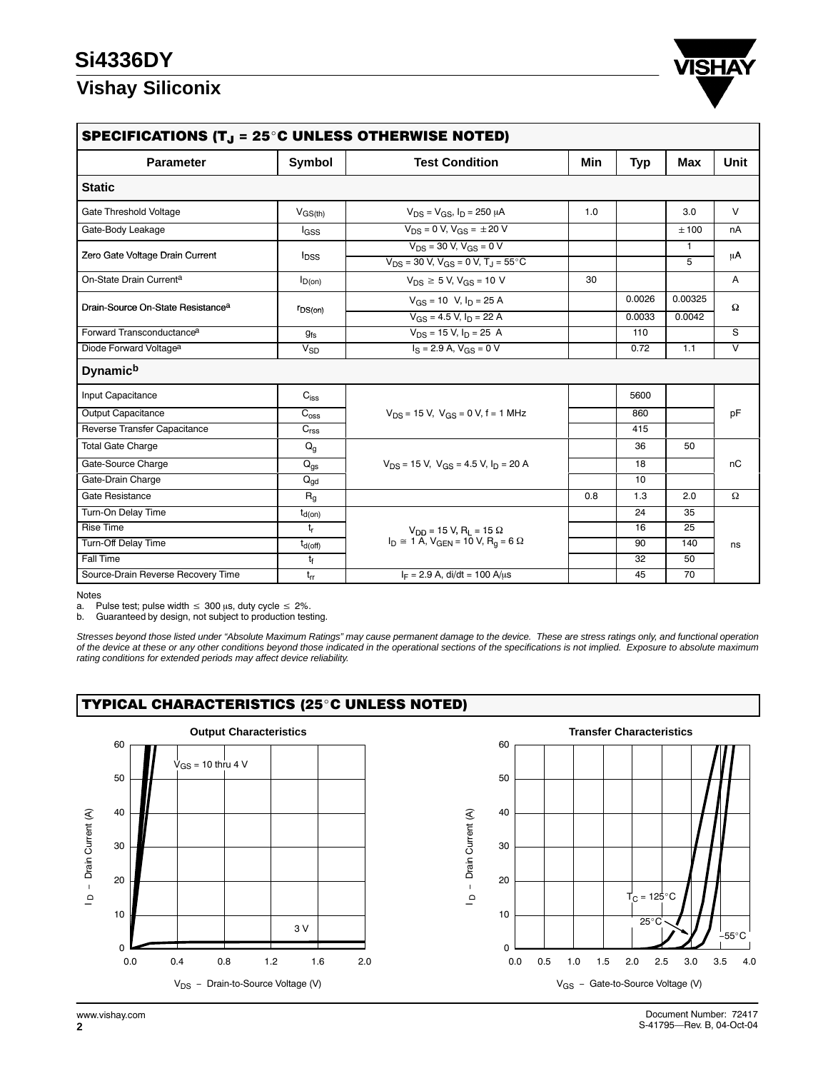## **Si4336DY**

### **Vishay Siliconix**



| SPECIFICATIONS (T $_{\text{J}}$ = 25 $^{\circ}$ C UNLESS OTHERWISE NOTED) |                         |                                                                                                   |     |        |                   |        |  |  |
|---------------------------------------------------------------------------|-------------------------|---------------------------------------------------------------------------------------------------|-----|--------|-------------------|--------|--|--|
| <b>Parameter</b>                                                          | Symbol                  | <b>Test Condition</b>                                                                             | Min | Typ    | <b>Max</b>        | Unit   |  |  |
| <b>Static</b>                                                             |                         |                                                                                                   |     |        |                   |        |  |  |
| Gate Threshold Voltage                                                    | $V_{GS(th)}$            | $V_{DS} = V_{GS}$ , $I_D = 250 \mu A$                                                             | 1.0 |        | 3.0               | $\vee$ |  |  |
| Gate-Body Leakage                                                         | lgss                    | $V_{DS} = 0 V$ , $V_{GS} = \pm 20 V$                                                              |     |        | ±100              | nA     |  |  |
| Zero Gate Voltage Drain Current                                           | <b>l</b> <sub>DSS</sub> | $V_{DS}$ = 30 V, $V_{GS}$ = 0 V<br>$V_{DS}$ = 30 V, V <sub>GS</sub> = 0 V, T <sub>J</sub> = 55 °C |     |        | $\mathbf{1}$<br>5 | μA     |  |  |
| On-State Drain Current <sup>a</sup>                                       | $I_{D(0n)}$             | $V_{DS} \ge 5$ V, $V_{GS} = 10$ V                                                                 | 30  |        |                   | A      |  |  |
| Drain-Source On-State Resistance <sup>a</sup>                             |                         | $V_{GS}$ = 10 V, $I_D$ = 25 A                                                                     |     | 0.0026 | 0.00325           | Ω      |  |  |
|                                                                           | $r_{DS(on)}$            | $V_{GS}$ = 4.5 V, $I_D$ = 22 A                                                                    |     | 0.0033 | 0.0042            |        |  |  |
| Forward Transconductance <sup>a</sup>                                     | $g_{fs}$                | $V_{DS}$ = 15 V, $I_D$ = 25 A                                                                     |     | 110    |                   | S      |  |  |
| Diode Forward Voltage <sup>a</sup>                                        | $V_{SD}$                | $I_S = 2.9$ A, $V_{GS} = 0$ V                                                                     |     | 0.72   | 1.1               | $\vee$ |  |  |
| <b>Dynamich</b>                                                           |                         |                                                                                                   |     |        |                   |        |  |  |
| Input Capacitance                                                         | $C_{iss}$               |                                                                                                   |     | 5600   |                   | pF     |  |  |
| Output Capacitance                                                        | $C_{\rm oss}$           | $V_{DS}$ = 15 V, $V_{GS}$ = 0 V, f = 1 MHz                                                        |     | 860    |                   |        |  |  |
| Reverse Transfer Capacitance                                              | $C_{\text{rss}}$        |                                                                                                   |     | 415    |                   |        |  |  |
| <b>Total Gate Charge</b>                                                  | $Q_q$                   |                                                                                                   |     | 36     | 50                | nC     |  |  |
| Gate-Source Charge                                                        | $Q_{\text{gs}}$         | $V_{DS}$ = 15 V, $V_{GS}$ = 4.5 V, $I_D$ = 20 A                                                   |     | 18     |                   |        |  |  |
| Gate-Drain Charge                                                         | $Q_{gd}$                |                                                                                                   |     | 10     |                   |        |  |  |
| Gate Resistance                                                           | $R_{q}$                 |                                                                                                   | 0.8 | 1.3    | 2.0               | Ω      |  |  |
| Turn-On Delay Time                                                        | $t_{d(on)}$             |                                                                                                   |     | 24     | 35                | ns     |  |  |
| <b>Rise Time</b>                                                          | $t_{r}$                 | $V_{DD}$ = 15 V, R <sub>L</sub> = 15 $\Omega$                                                     |     | 16     | 25                |        |  |  |
| <b>Turn-Off Delay Time</b>                                                | $t_{d(Off)}$            | $I_D \cong 1 \text{ A}$ , $V_{GEN} = 10 \text{ V}$ , $R_q = 6 \Omega$                             |     | 90     | 140               |        |  |  |
| Fall Time                                                                 | t                       |                                                                                                   |     | 32     | 50                |        |  |  |
| Source-Drain Reverse Recovery Time                                        | $t_{rr}$                | $I_F = 2.9$ A, di/dt = 100 A/us                                                                   |     | 45     | 70                |        |  |  |

Notes<br>a. P

a. Pulse test; pulse width  $\leq 300$  µs, duty cycle  $\leq 2\%$ .

b. Guaranteed by design, not subject to production testing.

*Stresses beyond those listed under "Absolute Maximum Ratings" may cause permanent damage to the device. These are stress ratings only, and functional operation of the device at these or any other conditions beyond those indicated in the operational sections of the specifications is not implied. Exposure to absolute maximum rating conditions for extended periods may affect device reliability.*

#### TYPICAL CHARACTERISTICS (25°C UNLESS NOTED)



0 10 20 30 40 50 60 0.0 0.5 1.0 1.5 2.0 2.5 3.0 3.5 4.0  $25^\circ$  $T_C = 125^{\circ}C$  $\frac{3\sqrt{1-\frac{1}{55}}}{2}$ V<sub>GS</sub> - Gate-to-Source Voltage (V) − Drain Current (A)  $\mathsf{I}$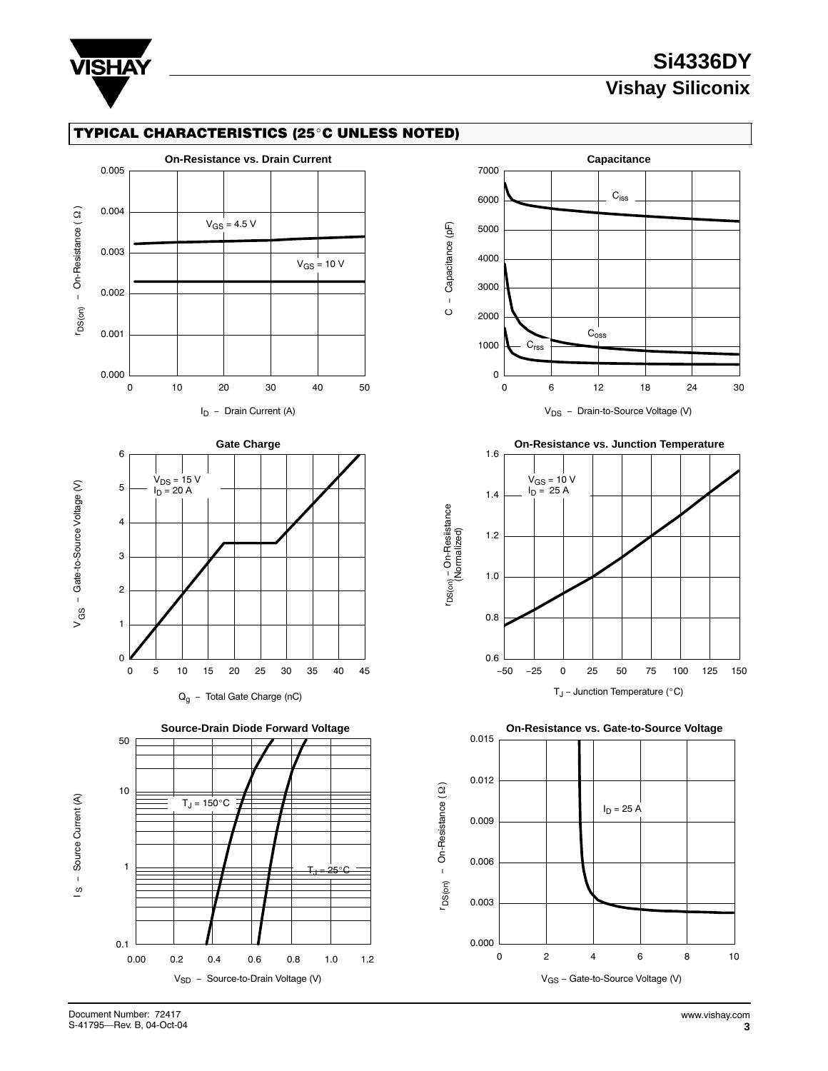

# **Si4336DY Vishay Siliconix**

#### TYPICAL CHARACTERISTICS (25°C UNLESS NOTED)









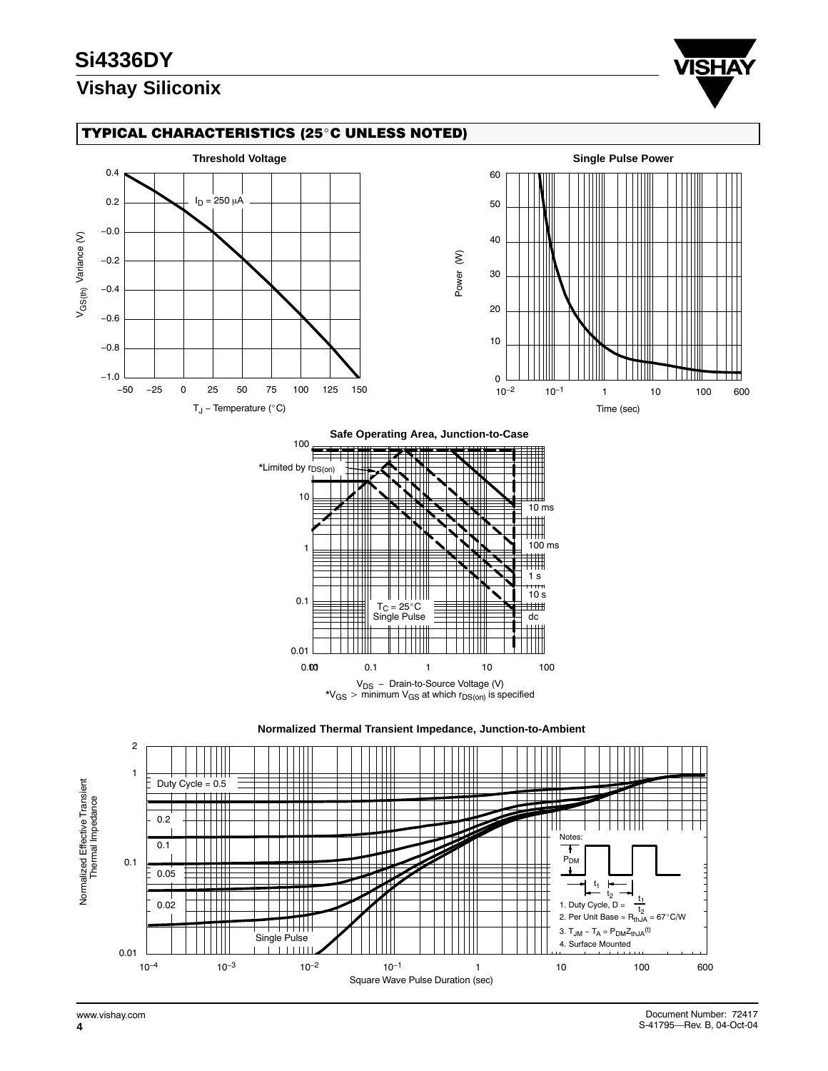# **Si4336DY**





#### TYPICAL CHARACTERISTICS (25°C UNLESS NOTED)